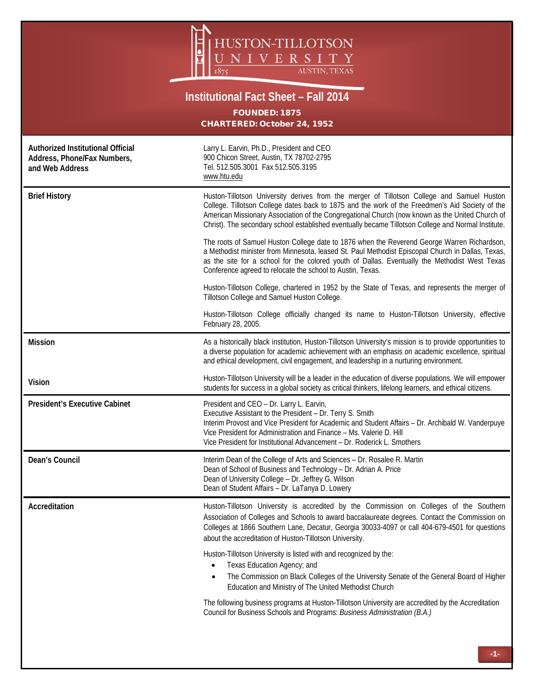

## **Institutional Fact Sheet – Fall 2014**

FOUNDED: 1875 CHARTERED: October 24, 1952

| Authorized Institutional Official<br>Address, Phone/Fax Numbers,<br>and Web Address | Larry L. Earvin, Ph.D., President and CEO<br>900 Chicon Street, Austin, TX 78702-2795<br>Tel. 512.505.3001 Fax 512.505.3195<br>www.htu.edu                                                                                                                                                                                                                                                              |  |
|-------------------------------------------------------------------------------------|---------------------------------------------------------------------------------------------------------------------------------------------------------------------------------------------------------------------------------------------------------------------------------------------------------------------------------------------------------------------------------------------------------|--|
| <b>Brief History</b>                                                                | Huston-Tillotson University derives from the merger of Tillotson College and Samuel Huston<br>College. Tillotson College dates back to 1875 and the work of the Freedmen's Aid Society of the<br>American Missionary Association of the Congregational Church (now known as the United Church of<br>Christ). The secondary school established eventually became Tillotson College and Normal Institute. |  |
|                                                                                     | The roots of Samuel Huston College date to 1876 when the Reverend George Warren Richardson,<br>a Methodist minister from Minnesota, leased St. Paul Methodist Episcopal Church in Dallas, Texas,<br>as the site for a school for the colored youth of Dallas. Eventually the Methodist West Texas<br>Conference agreed to relocate the school to Austin, Texas.                                         |  |
|                                                                                     | Huston-Tillotson College, chartered in 1952 by the State of Texas, and represents the merger of<br>Tillotson College and Samuel Huston College.                                                                                                                                                                                                                                                         |  |
|                                                                                     | Huston-Tillotson College officially changed its name to Huston-Tillotson University, effective<br>February 28, 2005.                                                                                                                                                                                                                                                                                    |  |
| <b>Mission</b>                                                                      | As a historically black institution, Huston-Tillotson University's mission is to provide opportunities to<br>a diverse population for academic achievement with an emphasis on academic excellence, spiritual<br>and ethical development, civil engagement, and leadership in a nurturing environment.                                                                                                  |  |
| <b>Vision</b>                                                                       | Huston-Tillotson University will be a leader in the education of diverse populations. We will empower<br>students for success in a global society as critical thinkers, lifelong learners, and ethical citizens.                                                                                                                                                                                        |  |
| <b>President's Executive Cabinet</b>                                                | President and CEO - Dr. Larry L. Earvin,<br>Executive Assistant to the President - Dr. Terry S. Smith<br>Interim Provost and Vice President for Academic and Student Affairs - Dr. Archibald W. Vanderpuye<br>Vice President for Administration and Finance - Ms. Valerie D. Hill<br>Vice President for Institutional Advancement - Dr. Roderick L. Smothers                                            |  |
| Dean's Council                                                                      | Interim Dean of the College of Arts and Sciences - Dr. Rosalee R. Martin<br>Dean of School of Business and Technology - Dr. Adrian A. Price<br>Dean of University College - Dr. Jeffrey G. Wilson<br>Dean of Student Affairs - Dr. LaTanya D. Lowery                                                                                                                                                    |  |
| Accreditation                                                                       | Huston-Tillotson University is accredited by the Commission on Colleges of the Southern<br>Association of Colleges and Schools to award baccalaureate degrees. Contact the Commission on<br>Colleges at 1866 Southern Lane, Decatur, Georgia 30033-4097 or call 404-679-4501 for questions<br>about the accreditation of Huston-Tillotson University.                                                   |  |
|                                                                                     | Huston-Tillotson University is listed with and recognized by the:<br>Texas Education Agency; and<br>The Commission on Black Colleges of the University Senate of the General Board of Higher<br>$\bullet$<br>Education and Ministry of The United Methodist Church                                                                                                                                      |  |
|                                                                                     | The following business programs at Huston-Tillotson University are accredited by the Accreditation<br>Council for Business Schools and Programs: Business Administration (B.A.)                                                                                                                                                                                                                         |  |
|                                                                                     |                                                                                                                                                                                                                                                                                                                                                                                                         |  |